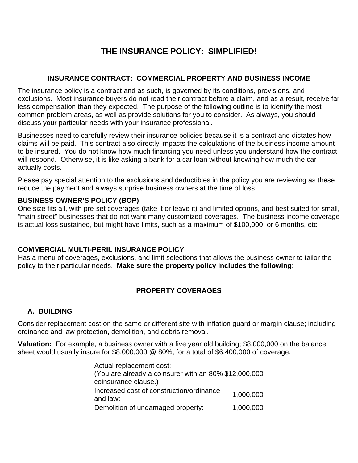# **THE INSURANCE POLICY: SIMPLIFIED!**

#### **INSURANCE CONTRACT: COMMERCIAL PROPERTY AND BUSINESS INCOME**

The insurance policy is a contract and as such, is governed by its conditions, provisions, and exclusions. Most insurance buyers do not read their contract before a claim, and as a result, receive far less compensation than they expected. The purpose of the following outline is to identify the most common problem areas, as well as provide solutions for you to consider. As always, you should discuss your particular needs with your insurance professional.

Businesses need to carefully review their insurance policies because it is a contract and dictates how claims will be paid. This contract also directly impacts the calculations of the business income amount to be insured. You do not know how much financing you need unless you understand how the contract will respond. Otherwise, it is like asking a bank for a car loan without knowing how much the car actually costs.

Please pay special attention to the exclusions and deductibles in the policy you are reviewing as these reduce the payment and always surprise business owners at the time of loss.

#### **BUSINESS OWNER'S POLICY (BOP)**

One size fits all, with pre-set coverages (take it or leave it) and limited options, and best suited for small, "main street" businesses that do not want many customized coverages. The business income coverage is actual loss sustained, but might have limits, such as a maximum of \$100,000, or 6 months, etc.

# **COMMERCIAL MULTI-PERIL INSURANCE POLICY**

Has a menu of coverages, exclusions, and limit selections that allows the business owner to tailor the policy to their particular needs. **Make sure the property policy includes the following**:

# **PROPERTY COVERAGES**

# **A. BUILDING**

Consider replacement cost on the same or different site with inflation guard or margin clause; including ordinance and law protection, demolition, and debris removal.

**Valuation:** For example, a business owner with a five year old building; \$8,000,000 on the balance sheet would usually insure for \$8,000,000 @ 80%, for a total of \$6,400,000 of coverage.

> Actual replacement cost: (You are already a coinsurer with an 80% \$12,000,000 coinsurance clause.) Increased cost of construction/ordinance and law:  $1,000,000$ <br>and law: Demolition of undamaged property: 1,000,000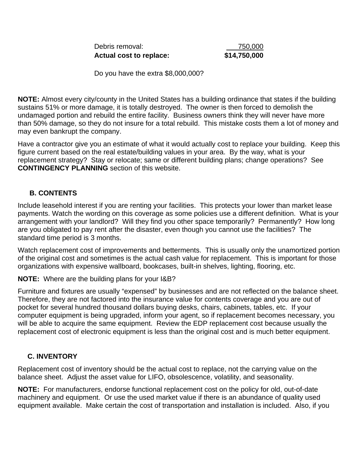| Debris removal:         | 750,000      |
|-------------------------|--------------|
| Actual cost to replace: | \$14,750,000 |

Do you have the extra \$8,000,000?

**NOTE:** Almost every city/county in the United States has a building ordinance that states if the building sustains 51% or more damage, it is totally destroyed. The owner is then forced to demolish the undamaged portion and rebuild the entire facility. Business owners think they will never have more than 50% damage, so they do not insure for a total rebuild. This mistake costs them a lot of money and may even bankrupt the company.

Have a contractor give you an estimate of what it would actually cost to replace your building. Keep this figure current based on the real estate/building values in your area. By the way, what is your replacement strategy? Stay or relocate; same or different building plans; change operations? See **CONTINGENCY PLANNING** section of this website.

# **B. CONTENTS**

Include leasehold interest if you are renting your facilities. This protects your lower than market lease payments. Watch the wording on this coverage as some policies use a different definition. What is your arrangement with your landlord? Will they find you other space temporarily? Permanently? How long are you obligated to pay rent after the disaster, even though you cannot use the facilities? The standard time period is 3 months.

Watch replacement cost of improvements and betterments. This is usually only the unamortized portion of the original cost and sometimes is the actual cash value for replacement. This is important for those organizations with expensive wallboard, bookcases, built-in shelves, lighting, flooring, etc.

**NOTE:** Where are the building plans for your I&B?

Furniture and fixtures are usually "expensed" by businesses and are not reflected on the balance sheet. Therefore, they are not factored into the insurance value for contents coverage and you are out of pocket for several hundred thousand dollars buying desks, chairs, cabinets, tables, etc. If your computer equipment is being upgraded, inform your agent, so if replacement becomes necessary, you will be able to acquire the same equipment. Review the EDP replacement cost because usually the replacement cost of electronic equipment is less than the original cost and is much better equipment.

#### **C. INVENTORY**

Replacement cost of inventory should be the actual cost to replace, not the carrying value on the balance sheet. Adjust the asset value for LIFO, obsolescence, volatility, and seasonality.

**NOTE:** For manufacturers, endorse functional replacement cost on the policy for old, out-of-date machinery and equipment. Or use the used market value if there is an abundance of quality used equipment available. Make certain the cost of transportation and installation is included. Also, if you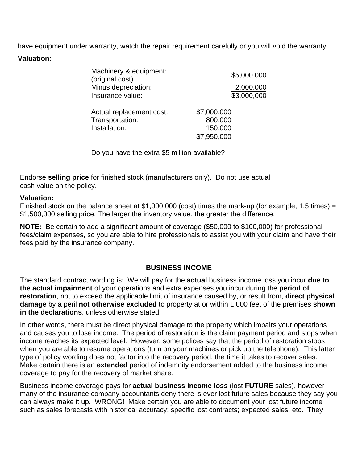have equipment under warranty, watch the repair requirement carefully or you will void the warranty. **Valuation:**

| Machinery & equipment:<br>(original cost) | \$5,000,000 |
|-------------------------------------------|-------------|
| Minus depreciation:                       | 2,000,000   |
| Insurance value:                          | \$3,000,000 |
| Actual replacement cost:                  | \$7,000,000 |
| Transportation:                           | 800,000     |
| Installation:                             | 150,000     |
|                                           | \$7,950,000 |

Do you have the extra \$5 million available?

Endorse **selling price** for finished stock (manufacturers only). Do not use actual cash value on the policy.

#### **Valuation:**

Finished stock on the balance sheet at \$1,000,000 (cost) times the mark-up (for example, 1.5 times) = \$1,500,000 selling price. The larger the inventory value, the greater the difference.

**NOTE:** Be certain to add a significant amount of coverage (\$50,000 to \$100,000) for professional fees/claim expenses, so you are able to hire professionals to assist you with your claim and have their fees paid by the insurance company.

# **BUSINESS INCOME**

The standard contract wording is: We will pay for the **actual** business income loss you incur **due to the actual impairment** of your operations and extra expenses you incur during the **period of restoration**, not to exceed the applicable limit of insurance caused by, or result from, **direct physical damage** by a peril **not otherwise excluded** to property at or within 1,000 feet of the premises **shown in the declarations**, unless otherwise stated.

In other words, there must be direct physical damage to the property which impairs your operations and causes you to lose income. The period of restoration is the claim payment period and stops when income reaches its expected level. However, some polices say that the period of restoration stops when you are able to resume operations (turn on your machines or pick up the telephone). This latter type of policy wording does not factor into the recovery period, the time it takes to recover sales. Make certain there is an **extended** period of indemnity endorsement added to the business income coverage to pay for the recovery of market share.

Business income coverage pays for **actual business income loss** (lost **FUTURE** sales), however many of the insurance company accountants deny there is ever lost future sales because they say you can always make it up. WRONG! Make certain you are able to document your lost future income such as sales forecasts with historical accuracy; specific lost contracts; expected sales; etc. They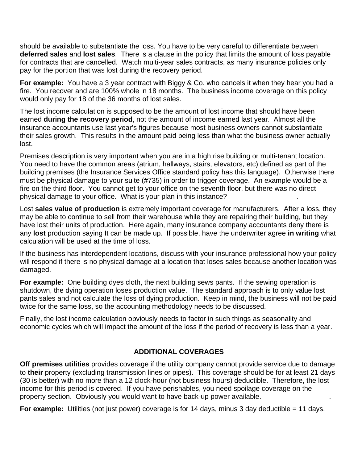should be available to substantiate the loss. You have to be very careful to differentiate between **deferred sales** and **lost sales**. There is a clause in the policy that limits the amount of loss payable for contracts that are cancelled. Watch multi-year sales contracts, as many insurance policies only pay for the portion that was lost during the recovery period.

**For example:** You have a 3 year contract with Biggy & Co. who cancels it when they hear you had a fire. You recover and are 100% whole in 18 months. The business income coverage on this policy would only pay for 18 of the 36 months of lost sales.

The lost income calculation is supposed to be the amount of lost income that should have been earned **during the recovery period**, not the amount of income earned last year. Almost all the insurance accountants use last year's figures because most business owners cannot substantiate their sales growth. This results in the amount paid being less than what the business owner actually lost.

Premises description is very important when you are in a high rise building or multi-tenant location. You need to have the common areas (atrium, hallways, stairs, elevators, etc) defined as part of the building premises (the Insurance Services Office standard policy has this language). Otherwise there must be physical damage to your suite (#735) in order to trigger coverage. An example would be a fire on the third floor. You cannot get to your office on the seventh floor, but there was no direct physical damage to your office. What is your plan in this instance?

Lost **sales value of production** is extremely important coverage for manufacturers. After a loss, they may be able to continue to sell from their warehouse while they are repairing their building, but they have lost their units of production. Here again, many insurance company accountants deny there is any **lost** production saying It can be made up. If possible, have the underwriter agree **in writing** what calculation will be used at the time of loss.

If the business has interdependent locations, discuss with your insurance professional how your policy will respond if there is no physical damage at a location that loses sales because another location was damaged.

**For example:** One building dyes cloth, the next building sews pants. If the sewing operation is shutdown, the dying operation loses production value. The standard approach is to only value lost pants sales and not calculate the loss of dying production. Keep in mind, the business will not be paid twice for the same loss, so the accounting methodology needs to be discussed.

Finally, the lost income calculation obviously needs to factor in such things as seasonality and economic cycles which will impact the amount of the loss if the period of recovery is less than a year.

# **ADDITIONAL COVERAGES**

**Off premises utilities** provides coverage if the utility company cannot provide service due to damage to **their** property (excluding transmission lines or pipes). This coverage should be for at least 21 days (30 is better) with no more than a 12 clock-hour (not business hours) deductible. Therefore, the lost income for this period is covered. If you have perishables, you need spoilage coverage on the property section. Obviously you would want to have back-up power available.

**For example:** Utilities (not just power) coverage is for 14 days, minus 3 day deductible = 11 days.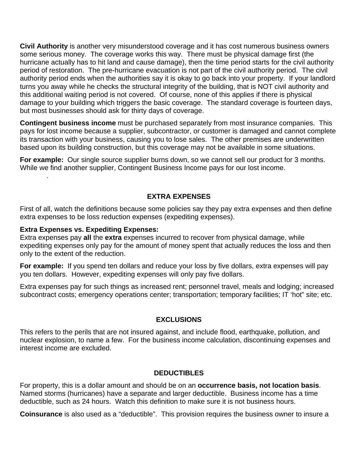**Civil Authority** is another very misunderstood coverage and it has cost numerous business owners some serious money. The coverage works this way. There must be physical damage first (the hurricane actually has to hit land and cause damage), then the time period starts for the civil authority period of restoration. The pre-hurricane evacuation is not part of the civil authority period. The civil authority period ends when the authorities say it is okay to go back into your property. If your landlord turns you away while he checks the structural integrity of the building, that is NOT civil authority and this additional waiting period is not covered. Of course, none of this applies if there is physical damage to your building which triggers the basic coverage. The standard coverage is fourteen days, but most businesses should ask for thirty days of coverage.

**Contingent business income** must be purchased separately from most insurance companies. This pays for lost income because a supplier, subcontractor, or customer is damaged and cannot complete its transaction with your business, causing you to lose sales. The other premises are underwritten based upon its building construction, but this coverage may not be available in some situations.

**For example:** Our single source supplier burns down, so we cannot sell our product for 3 months. While we find another supplier, Contingent Business Income pays for our lost income.

# **EXTRA EXPENSES**

First of all, watch the definitions because some policies say they pay extra expenses and then define extra expenses to be loss reduction expenses (expediting expenses).

#### **Extra Expenses vs. Expediting Expenses:**

[planning](http://www.bisimplified.com/planning.asp).

Extra expenses pay **all** the **extra** expenses incurred to recover from physical damage, while expediting expenses only pay for the amount of money spent that actually reduces the loss and then only to the extent of the reduction.

**For example:** If you spend ten dollars and reduce your loss by five dollars, extra expenses will pay you ten dollars. However, expediting expenses will only pay five dollars.

Extra expenses pay for such things as increased rent; personnel travel, meals and lodging; increased subcontract costs; emergency operations center; transportation; temporary facilities; IT 'hot" site; etc.

#### **EXCLUSIONS**

This refers to the perils that are not insured against, and include flood, earthquake, pollution, and nuclear explosion, to name a few. For the business income calculation, discontinuing expenses and interest income are excluded.

#### **DEDUCTIBLES**

For property, this is a dollar amount and should be on an **occurrence basis, not location basis**. Named storms (hurricanes) have a separate and larger deductible. Business income has a time deductible, such as 24 hours. Watch this definition to make sure it is not business hours.

**Coinsurance** is also used as a "deductible". This provision requires the business owner to insure a